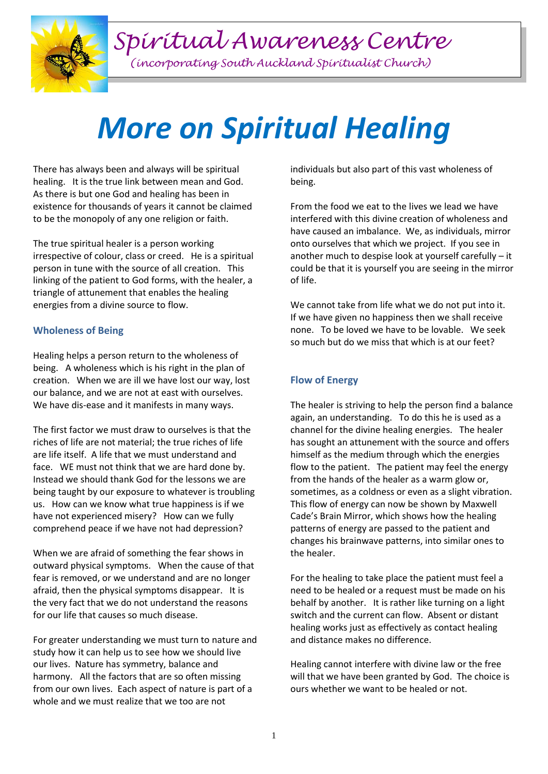

# *Spiritual Awareness Centre*

*(incorporating South Auckland Spiritualist Church)*

# *More on Spiritual Healing*

There has always been and always will be spiritual healing. It is the true link between mean and God. As there is but one God and healing has been in existence for thousands of years it cannot be claimed to be the monopoly of any one religion or faith.

The true spiritual healer is a person working irrespective of colour, class or creed. He is a spiritual person in tune with the source of all creation. This linking of the patient to God forms, with the healer, a triangle of attunement that enables the healing energies from a divine source to flow.

### **Wholeness of Being**

Healing helps a person return to the wholeness of being. A wholeness which is his right in the plan of creation. When we are ill we have lost our way, lost our balance, and we are not at east with ourselves. We have dis-ease and it manifests in many ways.

The first factor we must draw to ourselves is that the riches of life are not material; the true riches of life are life itself. A life that we must understand and face. WE must not think that we are hard done by. Instead we should thank God for the lessons we are being taught by our exposure to whatever is troubling us. How can we know what true happiness is if we have not experienced misery? How can we fully comprehend peace if we have not had depression?

When we are afraid of something the fear shows in outward physical symptoms. When the cause of that fear is removed, or we understand and are no longer afraid, then the physical symptoms disappear. It is the very fact that we do not understand the reasons for our life that causes so much disease.

For greater understanding we must turn to nature and study how it can help us to see how we should live our lives. Nature has symmetry, balance and harmony. All the factors that are so often missing from our own lives. Each aspect of nature is part of a whole and we must realize that we too are not

individuals but also part of this vast wholeness of being.

From the food we eat to the lives we lead we have interfered with this divine creation of wholeness and have caused an imbalance. We, as individuals, mirror onto ourselves that which we project. If you see in another much to despise look at yourself carefully – it could be that it is yourself you are seeing in the mirror of life.

We cannot take from life what we do not put into it. If we have given no happiness then we shall receive none. To be loved we have to be lovable. We seek so much but do we miss that which is at our feet?

## **Flow of Energy**

The healer is striving to help the person find a balance again, an understanding. To do this he is used as a channel for the divine healing energies. The healer has sought an attunement with the source and offers himself as the medium through which the energies flow to the patient. The patient may feel the energy from the hands of the healer as a warm glow or, sometimes, as a coldness or even as a slight vibration. This flow of energy can now be shown by Maxwell Cade's Brain Mirror, which shows how the healing patterns of energy are passed to the patient and changes his brainwave patterns, into similar ones to the healer.

For the healing to take place the patient must feel a need to be healed or a request must be made on his behalf by another. It is rather like turning on a light switch and the current can flow. Absent or distant healing works just as effectively as contact healing and distance makes no difference.

Healing cannot interfere with divine law or the free will that we have been granted by God. The choice is ours whether we want to be healed or not.